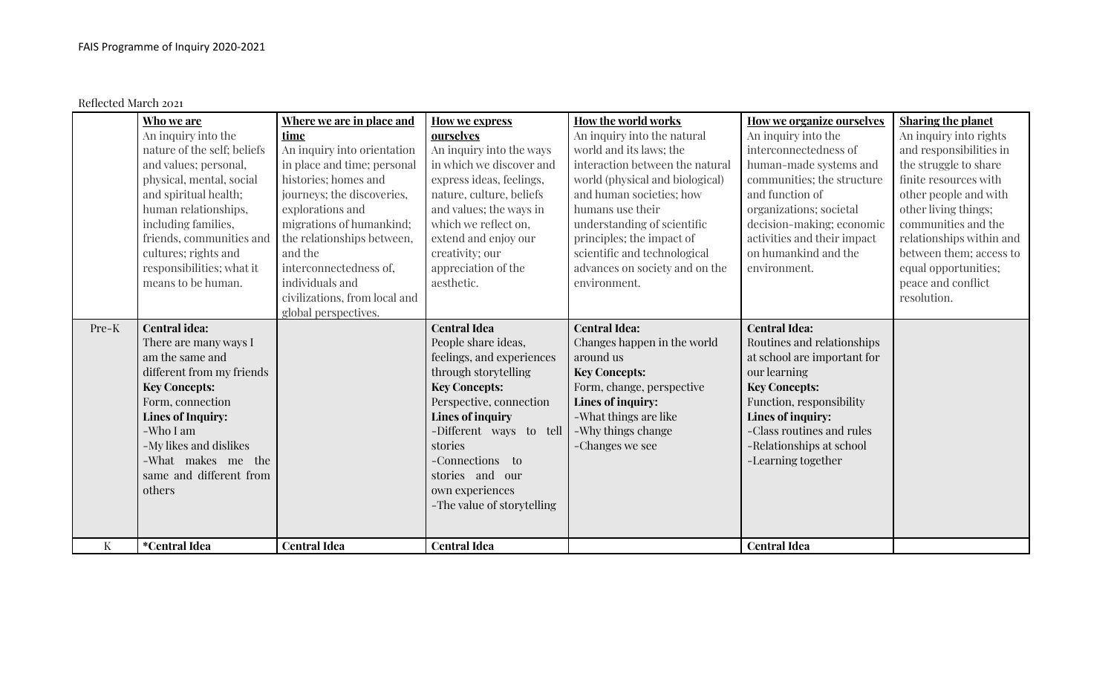Reflected March 2021

|              | Who we are                  | Where we are in place and     | <b>How we express</b>      | How the world works             | <b>How we organize ourselves</b> | <b>Sharing the planet</b> |
|--------------|-----------------------------|-------------------------------|----------------------------|---------------------------------|----------------------------------|---------------------------|
|              | An inquiry into the         | time                          | ourselves                  | An inquiry into the natural     | An inquiry into the              | An inquiry into rights    |
|              | nature of the self; beliefs | An inquiry into orientation   | An inquiry into the ways   | world and its laws; the         | interconnectedness of            | and responsibilities in   |
|              | and values; personal,       | in place and time; personal   | in which we discover and   | interaction between the natural | human-made systems and           | the struggle to share     |
|              | physical, mental, social    | histories; homes and          | express ideas, feelings,   | world (physical and biological) | communities; the structure       | finite resources with     |
|              | and spiritual health;       | journeys; the discoveries,    | nature, culture, beliefs   | and human societies; how        | and function of                  | other people and with     |
|              | human relationships,        | explorations and              | and values; the ways in    | humans use their                | organizations; societal          | other living things;      |
|              | including families,         | migrations of humankind;      | which we reflect on,       | understanding of scientific     | decision-making; economic        | communities and the       |
|              | friends, communities and    | the relationships between,    | extend and enjoy our       | principles; the impact of       | activities and their impact      | relationships within and  |
|              | cultures; rights and        | and the                       | creativity; our            | scientific and technological    | on humankind and the             | between them; access to   |
|              | responsibilities; what it   | interconnectedness of,        | appreciation of the        | advances on society and on the  | environment.                     | equal opportunities;      |
|              | means to be human.          | individuals and               | aesthetic.                 | environment.                    |                                  | peace and conflict        |
|              |                             | civilizations, from local and |                            |                                 |                                  | resolution.               |
|              |                             | global perspectives.          |                            |                                 |                                  |                           |
| Pre-K        | <b>Central idea:</b>        |                               | <b>Central Idea</b>        | <b>Central Idea:</b>            | <b>Central Idea:</b>             |                           |
|              | There are many ways I       |                               | People share ideas,        | Changes happen in the world     | Routines and relationships       |                           |
|              | am the same and             |                               | feelings, and experiences  | around us                       | at school are important for      |                           |
|              | different from my friends   |                               | through storytelling       | <b>Key Concepts:</b>            | our learning                     |                           |
|              | <b>Key Concepts:</b>        |                               | <b>Key Concepts:</b>       | Form, change, perspective       | <b>Key Concepts:</b>             |                           |
|              | Form, connection            |                               | Perspective, connection    | Lines of inquiry:               | Function, responsibility         |                           |
|              | <b>Lines of Inquiry:</b>    |                               | <b>Lines of inquiry</b>    | -What things are like           | Lines of inquiry:                |                           |
|              | -Who I am                   |                               | -Different ways to tell    | -Why things change              | -Class routines and rules        |                           |
|              | -My likes and dislikes      |                               | stories                    | -Changes we see                 | -Relationships at school         |                           |
|              | -What makes me the          |                               | -Connections to            |                                 | -Learning together               |                           |
|              | same and different from     |                               | stories and our            |                                 |                                  |                           |
|              | others                      |                               | own experiences            |                                 |                                  |                           |
|              |                             |                               | -The value of storytelling |                                 |                                  |                           |
|              |                             |                               |                            |                                 |                                  |                           |
| $\mathbf{K}$ | <i>*</i> Central Idea       | <b>Central Idea</b>           | <b>Central Idea</b>        |                                 | <b>Central Idea</b>              |                           |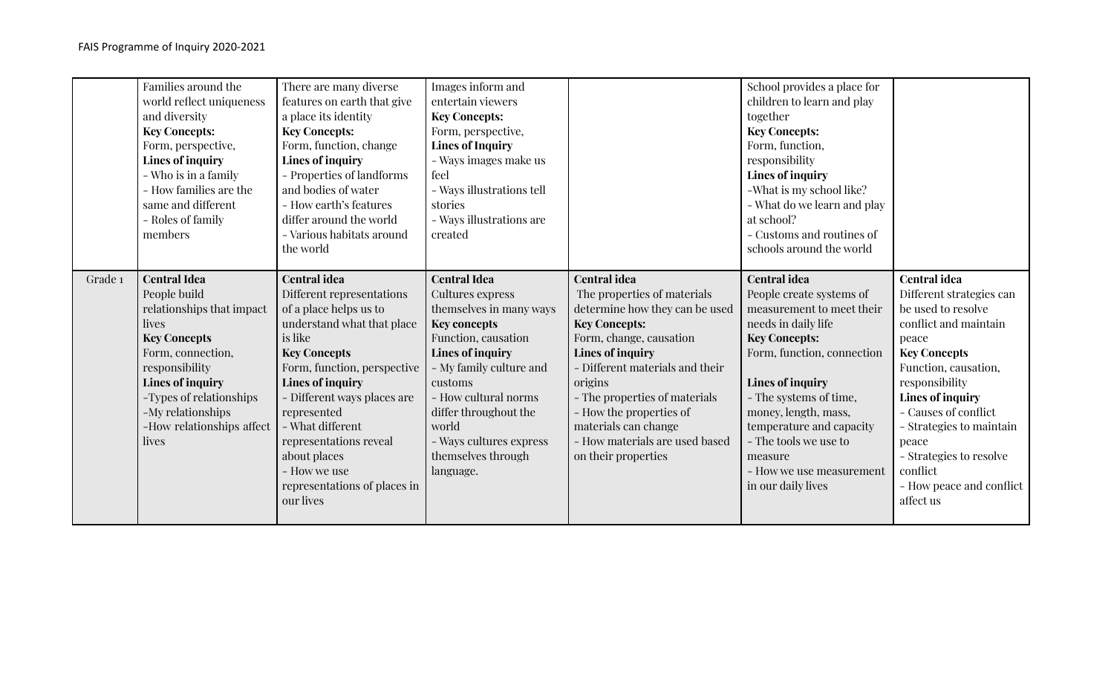|         | Families around the<br>world reflect uniqueness<br>and diversity<br><b>Key Concepts:</b><br>Form, perspective,<br>Lines of inquiry<br>- Who is in a family<br>- How families are the<br>same and different<br>- Roles of family<br>members               | There are many diverse<br>features on earth that give<br>a place its identity<br><b>Key Concepts:</b><br>Form, function, change<br>Lines of inquiry<br>- Properties of landforms<br>and bodies of water<br>- How earth's features<br>differ around the world<br>- Various habitats around<br>the world                                                                        | Images inform and<br>entertain viewers<br><b>Key Concepts:</b><br>Form, perspective,<br><b>Lines of Inquiry</b><br>- Ways images make us<br>feel<br>- Ways illustrations tell<br>stories<br>- Ways illustrations are<br>created                                                                           |                                                                                                                                                                                                                                                                                                                                                        | School provides a place for<br>children to learn and play<br>together<br><b>Key Concepts:</b><br>Form, function,<br>responsibility<br>Lines of inquiry<br>-What is my school like?<br>- What do we learn and play<br>at school?<br>- Customs and routines of<br>schools around the world                                                          |                                                                                                                                                                                                                                                                                                                                           |
|---------|----------------------------------------------------------------------------------------------------------------------------------------------------------------------------------------------------------------------------------------------------------|-------------------------------------------------------------------------------------------------------------------------------------------------------------------------------------------------------------------------------------------------------------------------------------------------------------------------------------------------------------------------------|-----------------------------------------------------------------------------------------------------------------------------------------------------------------------------------------------------------------------------------------------------------------------------------------------------------|--------------------------------------------------------------------------------------------------------------------------------------------------------------------------------------------------------------------------------------------------------------------------------------------------------------------------------------------------------|---------------------------------------------------------------------------------------------------------------------------------------------------------------------------------------------------------------------------------------------------------------------------------------------------------------------------------------------------|-------------------------------------------------------------------------------------------------------------------------------------------------------------------------------------------------------------------------------------------------------------------------------------------------------------------------------------------|
| Grade 1 | <b>Central Idea</b><br>People build<br>relationships that impact<br>lives<br><b>Key Concepts</b><br>Form, connection,<br>responsibility<br><b>Lines of inquiry</b><br>-Types of relationships<br>-My relationships<br>-How relationships affect<br>lives | <b>Central idea</b><br>Different representations<br>of a place helps us to<br>understand what that place<br>is like<br><b>Key Concepts</b><br>Form, function, perspective<br><b>Lines of inquiry</b><br>- Different ways places are<br>represented<br>- What different<br>representations reveal<br>about places<br>- How we use<br>representations of places in<br>our lives | <b>Central Idea</b><br>Cultures express<br>themselves in many ways<br><b>Key concepts</b><br>Function, causation<br><b>Lines of inquiry</b><br>- My family culture and<br>customs<br>- How cultural norms<br>differ throughout the<br>world<br>- Ways cultures express<br>themselves through<br>language. | <b>Central idea</b><br>The properties of materials<br>determine how they can be used<br><b>Key Concepts:</b><br>Form, change, causation<br>Lines of inquiry<br>- Different materials and their<br>origins<br>- The properties of materials<br>- How the properties of<br>materials can change<br>- How materials are used based<br>on their properties | <b>Central idea</b><br>People create systems of<br>measurement to meet their<br>needs in daily life<br><b>Key Concepts:</b><br>Form, function, connection<br>Lines of inquiry<br>- The systems of time,<br>money, length, mass,<br>temperature and capacity<br>- The tools we use to<br>measure<br>- How we use measurement<br>in our daily lives | <b>Central</b> idea<br>Different strategies can<br>be used to resolve<br>conflict and maintain<br>peace<br><b>Key Concepts</b><br>Function, causation,<br>responsibility<br>Lines of inquiry<br>- Causes of conflict<br>- Strategies to maintain<br>peace<br>- Strategies to resolve<br>conflict<br>- How peace and conflict<br>affect us |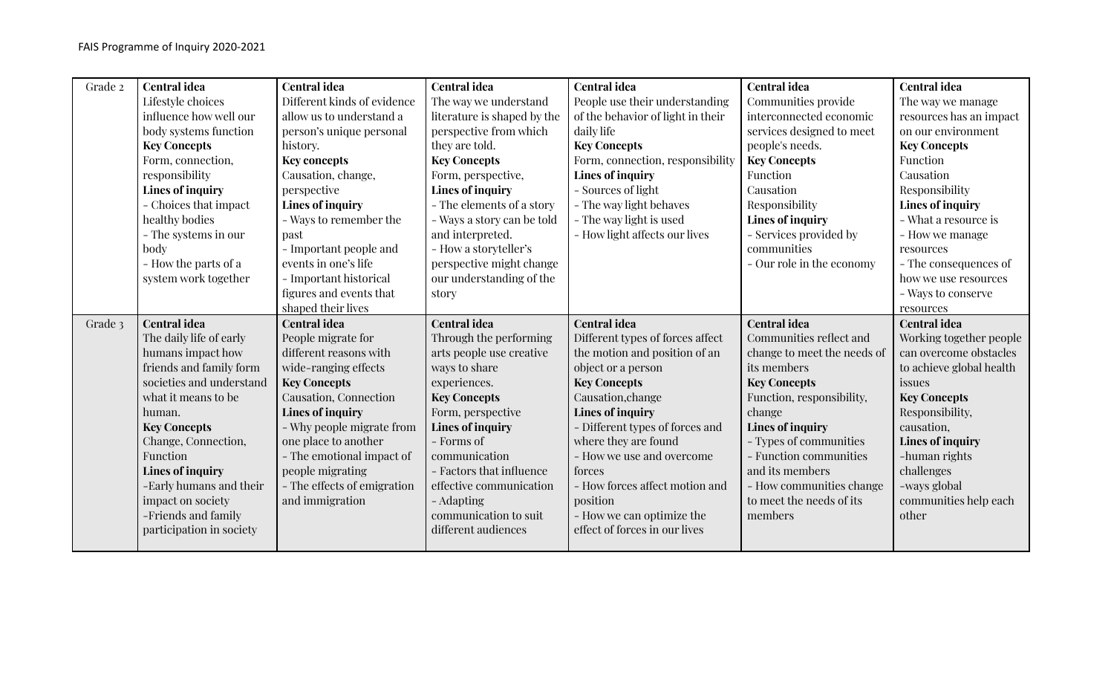| Grade 2 | <b>Central idea</b>      | <b>Central idea</b>         | <b>Central idea</b>         | <b>Central idea</b>               | <b>Central idea</b>         | <b>Central idea</b>      |
|---------|--------------------------|-----------------------------|-----------------------------|-----------------------------------|-----------------------------|--------------------------|
|         | Lifestyle choices        | Different kinds of evidence | The way we understand       | People use their understanding    | Communities provide         | The way we manage        |
|         | influence how well our   | allow us to understand a    | literature is shaped by the | of the behavior of light in their | interconnected economic     | resources has an impact  |
|         | body systems function    | person's unique personal    | perspective from which      | daily life                        | services designed to meet   | on our environment       |
|         | <b>Key Concepts</b>      | history.                    | they are told.              | <b>Key Concepts</b>               | people's needs.             | <b>Key Concepts</b>      |
|         | Form, connection,        | <b>Key concepts</b>         | <b>Key Concepts</b>         | Form, connection, responsibility  | <b>Key Concepts</b>         | Function                 |
|         | responsibility           | Causation, change,          | Form, perspective,          | Lines of inquiry                  | Function                    | Causation                |
|         | Lines of inquiry         | perspective                 | <b>Lines of inquiry</b>     | - Sources of light                | Causation                   | Responsibility           |
|         | - Choices that impact    | Lines of inquiry            | - The elements of a story   | - The way light behaves           | Responsibility              | Lines of inquiry         |
|         | healthy bodies           | - Ways to remember the      | - Ways a story can be told  | - The way light is used           | Lines of inquiry            | - What a resource is     |
|         | - The systems in our     | past                        | and interpreted.            | - How light affects our lives     | - Services provided by      | - How we manage          |
|         | body                     | - Important people and      | - How a storyteller's       |                                   | communities                 | resources                |
|         | - How the parts of a     | events in one's life        | perspective might change    |                                   | - Our role in the economy   | - The consequences of    |
|         | system work together     | - Important historical      | our understanding of the    |                                   |                             | how we use resources     |
|         |                          | figures and events that     | story                       |                                   |                             | - Ways to conserve       |
|         |                          | shaped their lives          |                             |                                   |                             | resources                |
|         |                          |                             |                             |                                   |                             |                          |
| Grade 3 | <b>Central idea</b>      | <b>Central idea</b>         | <b>Central idea</b>         | <b>Central idea</b>               | <b>Central idea</b>         | <b>Central idea</b>      |
|         | The daily life of early  | People migrate for          | Through the performing      | Different types of forces affect  | Communities reflect and     | Working together people  |
|         | humans impact how        | different reasons with      | arts people use creative    | the motion and position of an     | change to meet the needs of | can overcome obstacles   |
|         | friends and family form  | wide-ranging effects        | ways to share               | object or a person                | its members                 | to achieve global health |
|         | societies and understand | <b>Key Concepts</b>         | experiences.                | <b>Key Concepts</b>               | <b>Key Concepts</b>         | issues                   |
|         | what it means to be      | Causation, Connection       | <b>Key Concepts</b>         | Causation, change                 | Function, responsibility,   | <b>Key Concepts</b>      |
|         | human.                   | Lines of inquiry            | Form, perspective           | Lines of inquiry                  | change                      | Responsibility,          |
|         | <b>Key Concepts</b>      | - Why people migrate from   | <b>Lines of inquiry</b>     | - Different types of forces and   | Lines of inquiry            | causation,               |
|         | Change, Connection,      | one place to another        | - Forms of                  | where they are found              | - Types of communities      | Lines of inquiry         |
|         | Function                 | - The emotional impact of   | communication               | - How we use and overcome         | - Function communities      | -human rights            |
|         | <b>Lines of inquiry</b>  | people migrating            | - Factors that influence    | forces                            | and its members             | challenges               |
|         | -Early humans and their  | - The effects of emigration | effective communication     | - How forces affect motion and    | - How communities change    | -ways global             |
|         | impact on society        | and immigration             | - Adapting                  | position                          | to meet the needs of its    | communities help each    |
|         | -Friends and family      |                             | communication to suit       | - How we can optimize the         | members                     | other                    |
|         | participation in society |                             | different audiences         | effect of forces in our lives     |                             |                          |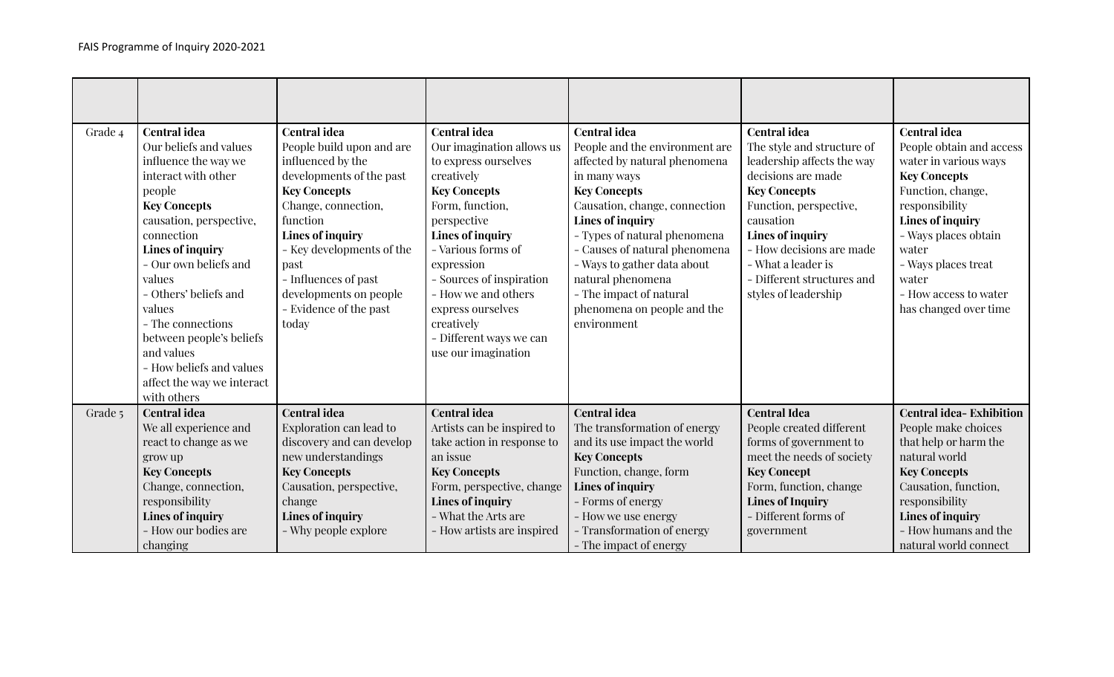| Grade 4 | <b>Central idea</b><br>Our beliefs and values<br>influence the way we<br>interact with other<br>people<br><b>Key Concepts</b><br>causation, perspective,<br>connection<br><b>Lines of inquiry</b><br>- Our own beliefs and<br>values<br>- Others' beliefs and<br>values<br>- The connections<br>between people's beliefs<br>and values<br>- How beliefs and values<br>affect the way we interact<br>with others | <b>Central idea</b><br>People build upon and are<br>influenced by the<br>developments of the past<br><b>Key Concepts</b><br>Change, connection,<br>function<br><b>Lines of inquiry</b><br>- Key developments of the<br>past<br>- Influences of past<br>developments on people<br>- Evidence of the past<br>today | <b>Central idea</b><br>Our imagination allows us<br>to express ourselves<br>creatively<br><b>Key Concepts</b><br>Form, function,<br>perspective<br><b>Lines of inquiry</b><br>- Various forms of<br>expression<br>- Sources of inspiration<br>- How we and others<br>express ourselves<br>creatively<br>- Different ways we can<br>use our imagination | <b>Central idea</b><br>People and the environment are<br>affected by natural phenomena<br>in many ways<br><b>Key Concepts</b><br>Causation, change, connection<br>Lines of inquiry<br>- Types of natural phenomena<br>- Causes of natural phenomena<br>- Ways to gather data about<br>natural phenomena<br>- The impact of natural<br>phenomena on people and the<br>environment | <b>Central idea</b><br>The style and structure of<br>leadership affects the way<br>decisions are made<br><b>Key Concepts</b><br>Function, perspective,<br>causation<br>Lines of inquiry<br>- How decisions are made<br>- What a leader is<br>- Different structures and<br>styles of leadership | <b>Central idea</b><br>People obtain and access<br>water in various ways<br><b>Key Concepts</b><br>Function, change,<br>responsibility<br>Lines of inquiry<br>- Ways places obtain<br>water<br>- Ways places treat<br>water<br>- How access to water<br>has changed over time |
|---------|-----------------------------------------------------------------------------------------------------------------------------------------------------------------------------------------------------------------------------------------------------------------------------------------------------------------------------------------------------------------------------------------------------------------|------------------------------------------------------------------------------------------------------------------------------------------------------------------------------------------------------------------------------------------------------------------------------------------------------------------|--------------------------------------------------------------------------------------------------------------------------------------------------------------------------------------------------------------------------------------------------------------------------------------------------------------------------------------------------------|----------------------------------------------------------------------------------------------------------------------------------------------------------------------------------------------------------------------------------------------------------------------------------------------------------------------------------------------------------------------------------|-------------------------------------------------------------------------------------------------------------------------------------------------------------------------------------------------------------------------------------------------------------------------------------------------|-------------------------------------------------------------------------------------------------------------------------------------------------------------------------------------------------------------------------------------------------------------------------------|
| Grade 5 | <b>Central idea</b><br>We all experience and<br>react to change as we<br>grow up<br><b>Key Concepts</b><br>Change, connection,<br>responsibility<br>Lines of inquiry<br>- How our bodies are<br>changing                                                                                                                                                                                                        | <b>Central idea</b><br><b>Exploration can lead to</b><br>discovery and can develop<br>new understandings<br><b>Key Concepts</b><br>Causation, perspective,<br>change<br><b>Lines of inquiry</b><br>- Why people explore                                                                                          | <b>Central idea</b><br>Artists can be inspired to<br>take action in response to<br>an issue<br><b>Key Concepts</b><br>Form, perspective, change<br><b>Lines of inquiry</b><br>- What the Arts are<br>- How artists are inspired                                                                                                                        | <b>Central idea</b><br>The transformation of energy<br>and its use impact the world<br><b>Key Concepts</b><br>Function, change, form<br><b>Lines of inquiry</b><br>- Forms of energy<br>- How we use energy<br>- Transformation of energy<br>- The impact of energy                                                                                                              | <b>Central Idea</b><br>People created different<br>forms of government to<br>meet the needs of society<br><b>Key Concept</b><br>Form, function, change<br><b>Lines of Inquiry</b><br>- Different forms of<br>government                                                                         | <b>Central idea-Exhibition</b><br>People make choices<br>that help or harm the<br>natural world<br><b>Key Concepts</b><br>Causation, function,<br>responsibility<br><b>Lines of inquiry</b><br>- How humans and the<br>natural world connect                                  |